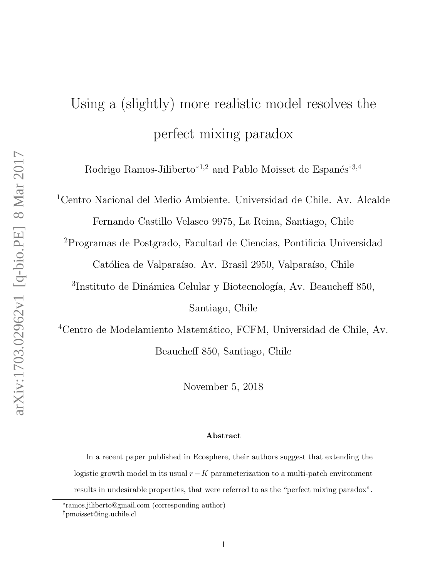# Using a (slightly) more realistic model resolves the perfect mixing paradox

Rodrigo Ramos-Jiliberto<sup>\*1,2</sup> and Pablo Moisset de Espanés<sup>†3,4</sup>

<sup>1</sup>Centro Nacional del Medio Ambiente. Universidad de Chile. Av. Alcalde

Fernando Castillo Velasco 9975, La Reina, Santiago, Chile <sup>2</sup>Programas de Postgrado, Facultad de Ciencias, Pontificia Universidad

Católica de Valparaíso. Av. Brasil 2950, Valparaíso, Chile

<sup>3</sup>Instituto de Dinámica Celular y Biotecnología, Av. Beaucheff 850,

Santiago, Chile

<sup>4</sup>Centro de Modelamiento Matemático, FCFM, Universidad de Chile, Av. Beaucheff 850, Santiago, Chile

November 5, 2018

#### Abstract

In a recent paper published in Ecosphere, their authors suggest that extending the logistic growth model in its usual  $r-K$  parameterization to a multi-patch environment results in undesirable properties, that were referred to as the "perfect mixing paradox".

<sup>∗</sup> ramos.jiliberto@gmail.com (corresponding author)

<sup>†</sup>pmoisset@ing.uchile.cl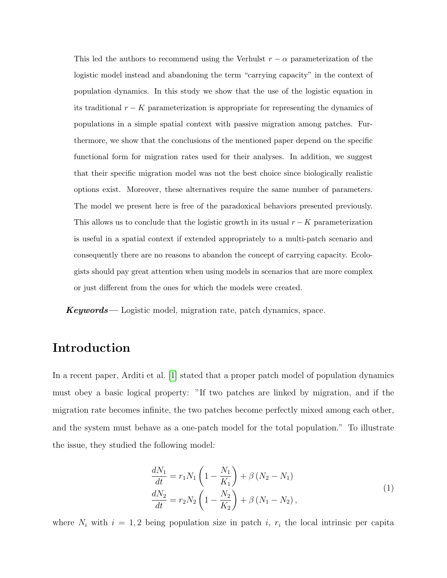This led the authors to recommend using the Verhulst  $r - \alpha$  parameterization of the logistic model instead and abandoning the term "carrying capacity" in the context of population dynamics. In this study we show that the use of the logistic equation in its traditional  $r - K$  parameterization is appropriate for representing the dynamics of populations in a simple spatial context with passive migration among patches. Furthermore, we show that the conclusions of the mentioned paper depend on the specific functional form for migration rates used for their analyses. In addition, we suggest that their specific migration model was not the best choice since biologically realistic options exist. Moreover, these alternatives require the same number of parameters. The model we present here is free of the paradoxical behaviors presented previously. This allows us to conclude that the logistic growth in its usual  $r - K$  parameterization is useful in a spatial context if extended appropriately to a multi-patch scenario and consequently there are no reasons to abandon the concept of carrying capacity. Ecologists should pay great attention when using models in scenarios that are more complex or just different from the ones for which the models were created.

 $Keywords$ — Logistic model, migration rate, patch dynamics, space.

# Introduction

In a recent paper, Arditi et al. [\[1\]](#page-8-0) stated that a proper patch model of population dynamics must obey a basic logical property: "If two patches are linked by migration, and if the migration rate becomes infinite, the two patches become perfectly mixed among each other, and the system must behave as a one-patch model for the total population." To illustrate the issue, they studied the following model:

<span id="page-1-0"></span>
$$
\frac{dN_1}{dt} = r_1 N_1 \left( 1 - \frac{N_1}{K_1} \right) + \beta \left( N_2 - N_1 \right) \n\frac{dN_2}{dt} = r_2 N_2 \left( 1 - \frac{N_2}{K_2} \right) + \beta \left( N_1 - N_2 \right),
$$
\n(1)

where  $N_i$  with  $i = 1, 2$  being population size in patch i,  $r_i$  the local intrinsic per capita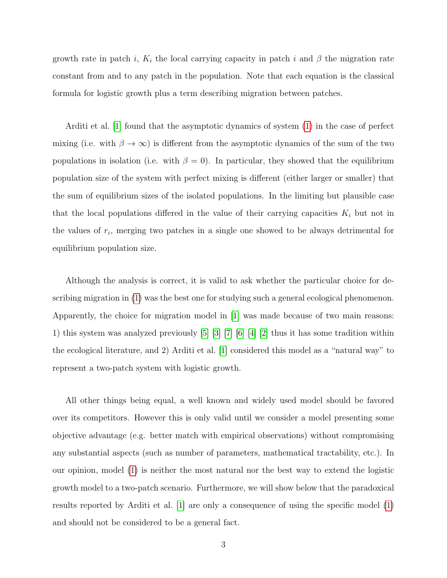growth rate in patch i,  $K_i$  the local carrying capacity in patch i and  $\beta$  the migration rate constant from and to any patch in the population. Note that each equation is the classical formula for logistic growth plus a term describing migration between patches.

Arditi et al. [\[1\]](#page-8-0) found that the asymptotic dynamics of system [\(1\)](#page-1-0) in the case of perfect mixing (i.e. with  $\beta \to \infty$ ) is different from the asymptotic dynamics of the sum of the two populations in isolation (i.e. with  $\beta = 0$ ). In particular, they showed that the equilibrium population size of the system with perfect mixing is different (either larger or smaller) that the sum of equilibrium sizes of the isolated populations. In the limiting but plausible case that the local populations differed in the value of their carrying capacities  $K_i$  but not in the values of  $r_i$ , merging two patches in a single one showed to be always detrimental for equilibrium population size.

Although the analysis is correct, it is valid to ask whether the particular choice for describing migration in [\(1\)](#page-1-0) was the best one for studying such a general ecological phenomenon. Apparently, the choice for migration model in  $|1|$  was made because of two main reasons: 1) this system was analyzed previously [\[5\]](#page-9-0) [\[3\]](#page-9-1) [\[7\]](#page-9-2) [\[6\]](#page-9-3) [\[4\]](#page-9-4) [\[2\]](#page-9-5) thus it has some tradition within the ecological literature, and 2) Arditi et al. [\[1\]](#page-8-0) considered this model as a "natural way" to represent a two-patch system with logistic growth.

All other things being equal, a well known and widely used model should be favored over its competitors. However this is only valid until we consider a model presenting some objective advantage (e.g. better match with empirical observations) without compromising any substantial aspects (such as number of parameters, mathematical tractability, etc.). In our opinion, model [\(1\)](#page-1-0) is neither the most natural nor the best way to extend the logistic growth model to a two-patch scenario. Furthermore, we will show below that the paradoxical results reported by Arditi et al. [\[1\]](#page-8-0) are only a consequence of using the specific model [\(1\)](#page-1-0) and should not be considered to be a general fact.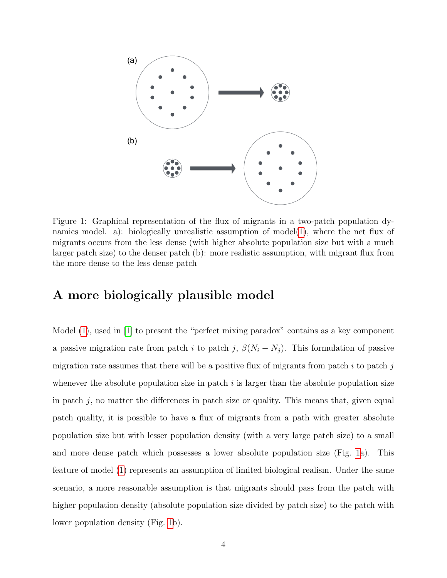

<span id="page-3-0"></span>Figure 1: Graphical representation of the flux of migrants in a two-patch population dynamics model. a): biologically unrealistic assumption of model $(1)$ , where the net flux of migrants occurs from the less dense (with higher absolute population size but with a much larger patch size) to the denser patch (b): more realistic assumption, with migrant flux from the more dense to the less dense patch

### A more biologically plausible model

Model [\(1\)](#page-1-0), used in [\[1\]](#page-8-0) to present the "perfect mixing paradox" contains as a key component a passive migration rate from patch i to patch j,  $\beta(N_i - N_j)$ . This formulation of passive migration rate assumes that there will be a positive flux of migrants from patch  $i$  to patch  $j$ whenever the absolute population size in patch  $i$  is larger than the absolute population size in patch  $j$ , no matter the differences in patch size or quality. This means that, given equal patch quality, it is possible to have a flux of migrants from a path with greater absolute population size but with lesser population density (with a very large patch size) to a small and more dense patch which possesses a lower absolute population size (Fig. [1a](#page-3-0)). This feature of model [\(1\)](#page-1-0) represents an assumption of limited biological realism. Under the same scenario, a more reasonable assumption is that migrants should pass from the patch with higher population density (absolute population size divided by patch size) to the patch with lower population density (Fig. [1b](#page-3-0)).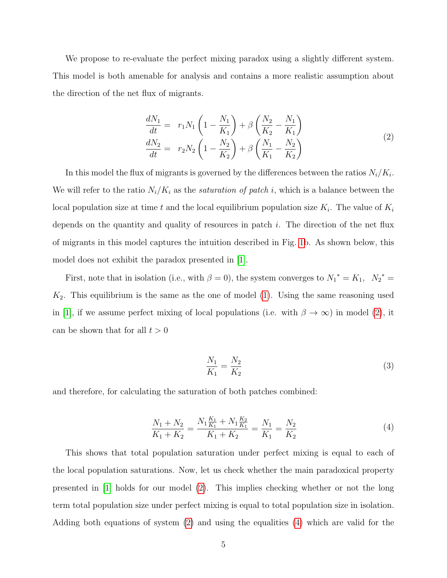We propose to re-evaluate the perfect mixing paradox using a slightly different system. This model is both amenable for analysis and contains a more realistic assumption about the direction of the net flux of migrants.

<span id="page-4-0"></span>
$$
\frac{dN_1}{dt} = r_1 N_1 \left( 1 - \frac{N_1}{K_1} \right) + \beta \left( \frac{N_2}{K_2} - \frac{N_1}{K_1} \right) \n\frac{dN_2}{dt} = r_2 N_2 \left( 1 - \frac{N_2}{K_2} \right) + \beta \left( \frac{N_1}{K_1} - \frac{N_2}{K_2} \right)
$$
\n(2)

In this model the flux of migrants is governed by the differences between the ratios  $N_i/K_i$ . We will refer to the ratio  $N_i/K_i$  as the *saturation of patch i*, which is a balance between the local population size at time t and the local equilibrium population size  $K_i$ . The value of  $K_i$ depends on the quantity and quality of resources in patch  $i$ . The direction of the net flux of migrants in this model captures the intuition described in Fig. [1b](#page-3-0). As shown below, this model does not exhibit the paradox presented in [\[1\]](#page-8-0).

First, note that in isolation (i.e., with  $\beta = 0$ ), the system converges to  $N_1^* = K_1$ ,  $N_2^* =$  $K_2$ . This equilibrium is the same as the one of model [\(1\)](#page-1-0). Using the same reasoning used in [\[1\]](#page-8-0), if we assume perfect mixing of local populations (i.e. with  $\beta \to \infty$ ) in model [\(2\)](#page-4-0), it can be shown that for all  $t > 0$ 

$$
\frac{N_1}{K_1} = \frac{N_2}{K_2} \tag{3}
$$

and therefore, for calculating the saturation of both patches combined:

<span id="page-4-1"></span>
$$
\frac{N_1 + N_2}{K_1 + K_2} = \frac{N_1 \frac{K_1}{K_1} + N_1 \frac{K_2}{K_1}}{K_1 + K_2} = \frac{N_1}{K_1} = \frac{N_2}{K_2}
$$
\n<sup>(4)</sup>

This shows that total population saturation under perfect mixing is equal to each of the local population saturations. Now, let us check whether the main paradoxical property presented in [\[1\]](#page-8-0) holds for our model [\(2\)](#page-4-0). This implies checking whether or not the long term total population size under perfect mixing is equal to total population size in isolation. Adding both equations of system [\(2\)](#page-4-0) and using the equalities [\(4\)](#page-4-1) which are valid for the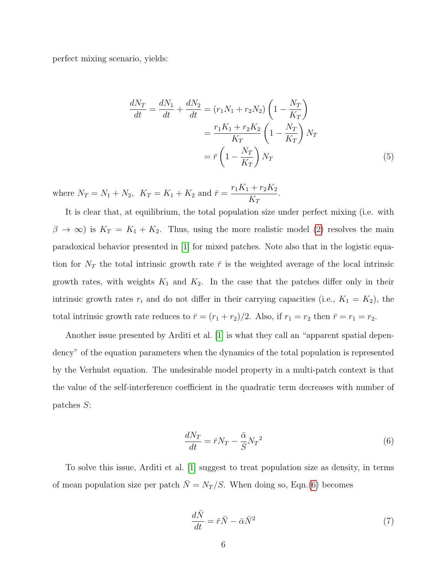perfect mixing scenario, yields:

<span id="page-5-2"></span>
$$
\frac{dN_T}{dt} = \frac{dN_1}{dt} + \frac{dN_2}{dt} = (r_1N_1 + r_2N_2) \left(1 - \frac{N_T}{K_T}\right) \n= \frac{r_1K_1 + r_2K_2}{K_T} \left(1 - \frac{N_T}{K_T}\right)N_T \n= \bar{r} \left(1 - \frac{N_T}{K_T}\right)N_T
$$
\n(5)

where  $N_T = N_1 + N_2$ ,  $K_T = K_1 + K_2$  and  $\bar{r} =$  $r_1K_1 + r_2K_2$  $K_T$ .

It is clear that, at equilibrium, the total population size under perfect mixing (i.e. with  $\beta \to \infty$ ) is  $K_T = K_1 + K_2$ . Thus, using the more realistic model [\(2\)](#page-4-0) resolves the main paradoxical behavior presented in [\[1\]](#page-8-0) for mixed patches. Note also that in the logistic equation for  $N_T$  the total intrinsic growth rate  $\bar{r}$  is the weighted average of the local intrinsic growth rates, with weights  $K_1$  and  $K_2$ . In the case that the patches differ only in their intrinsic growth rates  $r_i$  and do not differ in their carrying capacities (i.e.,  $K_1 = K_2$ ), the total intrinsic growth rate reduces to  $\bar{r} = (r_1 + r_2)/2$ . Also, if  $r_1 = r_2$  then  $\bar{r} = r_1 = r_2$ .

Another issue presented by Arditi et al. [\[1\]](#page-8-0) is what they call an "apparent spatial dependency" of the equation parameters when the dynamics of the total population is represented by the Verhulst equation. The undesirable model property in a multi-patch context is that the value of the self-interference coefficient in the quadratic term decreases with number of patches S:

<span id="page-5-0"></span>
$$
\frac{dN_T}{dt} = \bar{r}N_T - \frac{\bar{\alpha}}{S}N_T^2\tag{6}
$$

To solve this issue, Arditi et al. [\[1\]](#page-8-0) suggest to treat population size as density, in terms of mean population size per patch  $\overline{N} = N_T / S$ . When doing so, Eqn.[\(6\)](#page-5-0) becomes

<span id="page-5-1"></span>
$$
\frac{d\bar{N}}{dt} = \bar{r}\bar{N} - \bar{\alpha}\bar{N}^2
$$
\n(7)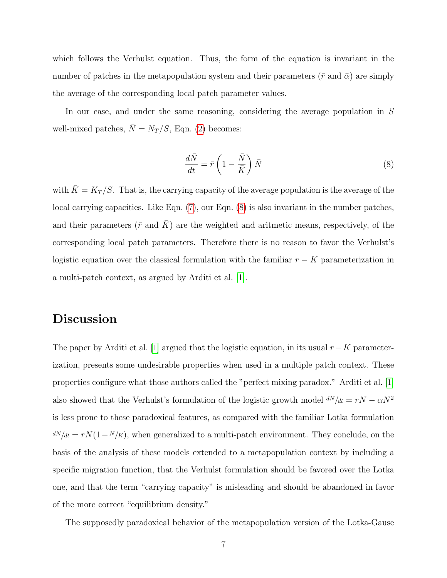which follows the Verhulst equation. Thus, the form of the equation is invariant in the number of patches in the metapopulation system and their parameters ( $\bar{r}$  and  $\bar{\alpha}$ ) are simply the average of the corresponding local patch parameter values.

In our case, and under the same reasoning, considering the average population in S well-mixed patches,  $\overline{N} = N_T / S$ , Eqn. [\(2\)](#page-4-0) becomes:

<span id="page-6-0"></span>
$$
\frac{d\bar{N}}{dt} = \bar{r}\left(1 - \frac{\bar{N}}{\bar{K}}\right)\bar{N}
$$
\n(8)

with  $\bar{K} = K_T / S$ . That is, the carrying capacity of the average population is the average of the local carrying capacities. Like Eqn. [\(7\)](#page-5-1), our Eqn. [\(8\)](#page-6-0) is also invariant in the number patches, and their parameters ( $\bar{r}$  and  $\bar{K}$ ) are the weighted and aritmetic means, respectively, of the corresponding local patch parameters. Therefore there is no reason to favor the Verhulst's logistic equation over the classical formulation with the familiar  $r - K$  parameterization in a multi-patch context, as argued by Arditi et al. [\[1\]](#page-8-0).

#### Discussion

The paper by Arditi et al. [\[1\]](#page-8-0) argued that the logistic equation, in its usual  $r-K$  parameterization, presents some undesirable properties when used in a multiple patch context. These properties configure what those authors called the "perfect mixing paradox." Arditi et al. [\[1\]](#page-8-0) also showed that the Verhulst's formulation of the logistic growth model  $dN/dt = rN - \alpha N^2$ is less prone to these paradoxical features, as compared with the familiar Lotka formulation  $\frac{dN}{dt} = rN(1 - \frac{N}{K})$ , when generalized to a multi-patch environment. They conclude, on the basis of the analysis of these models extended to a metapopulation context by including a specific migration function, that the Verhulst formulation should be favored over the Lotka one, and that the term "carrying capacity" is misleading and should be abandoned in favor of the more correct "equilibrium density."

The supposedly paradoxical behavior of the metapopulation version of the Lotka-Gause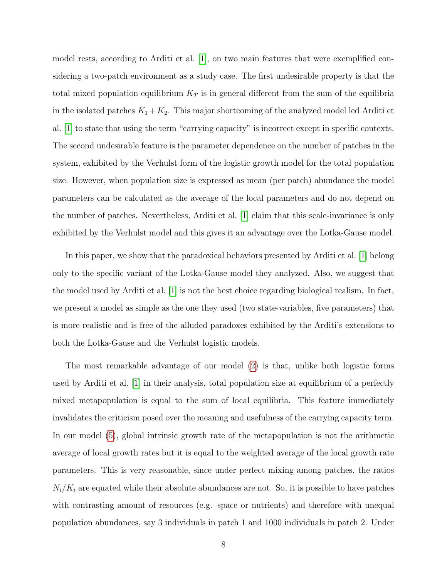model rests, according to Arditi et al. [\[1\]](#page-8-0), on two main features that were exemplified considering a two-patch environment as a study case. The first undesirable property is that the total mixed population equilibrium  $K_T$  is in general different from the sum of the equilibria in the isolated patches  $K_1 + K_2$ . This major shortcoming of the analyzed model led Arditi et al. [\[1\]](#page-8-0) to state that using the term "carrying capacity" is incorrect except in specific contexts. The second undesirable feature is the parameter dependence on the number of patches in the system, exhibited by the Verhulst form of the logistic growth model for the total population size. However, when population size is expressed as mean (per patch) abundance the model parameters can be calculated as the average of the local parameters and do not depend on the number of patches. Nevertheless, Arditi et al. [\[1\]](#page-8-0) claim that this scale-invariance is only exhibited by the Verhulst model and this gives it an advantage over the Lotka-Gause model.

In this paper, we show that the paradoxical behaviors presented by Arditi et al. [\[1\]](#page-8-0) belong only to the specific variant of the Lotka-Gause model they analyzed. Also, we suggest that the model used by Arditi et al. [\[1\]](#page-8-0) is not the best choice regarding biological realism. In fact, we present a model as simple as the one they used (two state-variables, five parameters) that is more realistic and is free of the alluded paradoxes exhibited by the Arditi's extensions to both the Lotka-Gause and the Verhulst logistic models.

The most remarkable advantage of our model [\(2\)](#page-4-0) is that, unlike both logistic forms used by Arditi et al. [\[1\]](#page-8-0) in their analysis, total population size at equilibrium of a perfectly mixed metapopulation is equal to the sum of local equilibria. This feature immediately invalidates the criticism posed over the meaning and usefulness of the carrying capacity term. In our model [\(5\)](#page-5-2), global intrinsic growth rate of the metapopulation is not the arithmetic average of local growth rates but it is equal to the weighted average of the local growth rate parameters. This is very reasonable, since under perfect mixing among patches, the ratios  $N_i/K_i$  are equated while their absolute abundances are not. So, it is possible to have patches with contrasting amount of resources (e.g. space or nutrients) and therefore with unequal population abundances, say 3 individuals in patch 1 and 1000 individuals in patch 2. Under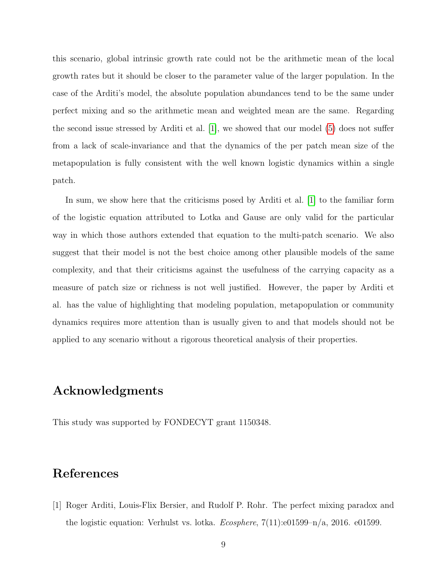this scenario, global intrinsic growth rate could not be the arithmetic mean of the local growth rates but it should be closer to the parameter value of the larger population. In the case of the Arditi's model, the absolute population abundances tend to be the same under perfect mixing and so the arithmetic mean and weighted mean are the same. Regarding the second issue stressed by Arditi et al. [\[1\]](#page-8-0), we showed that our model [\(5\)](#page-5-2) does not suffer from a lack of scale-invariance and that the dynamics of the per patch mean size of the metapopulation is fully consistent with the well known logistic dynamics within a single patch.

In sum, we show here that the criticisms posed by Arditi et al. [\[1\]](#page-8-0) to the familiar form of the logistic equation attributed to Lotka and Gause are only valid for the particular way in which those authors extended that equation to the multi-patch scenario. We also suggest that their model is not the best choice among other plausible models of the same complexity, and that their criticisms against the usefulness of the carrying capacity as a measure of patch size or richness is not well justified. However, the paper by Arditi et al. has the value of highlighting that modeling population, metapopulation or community dynamics requires more attention than is usually given to and that models should not be applied to any scenario without a rigorous theoretical analysis of their properties.

# Acknowledgments

This study was supported by FONDECYT grant 1150348.

#### <span id="page-8-0"></span>References

[1] Roger Arditi, Louis-Flix Bersier, and Rudolf P. Rohr. The perfect mixing paradox and the logistic equation: Verhulst vs. lotka.  $Ecosphere$ ,  $7(11):e01599-n/a$ , 2016. e01599.